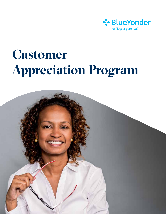

# **Customer Appreciation Program**

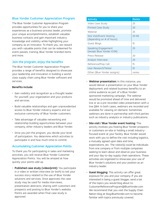## **Blue Yonder Customer Appreciation Program**

The Blue Yonder Customer Appreciation Program provides opportunities for you to share your experiences as a business-process leader, promote your unique accomplishments, establish valuable business contacts and gain important industry knowledge and visibility while highlighting your company as an innovator. To thank you, we reward you with valuable points that can be redeemed for event passes, training, Blue Yonder branded items and more.

### **Join the program, enjoy the benefits**

The Blue Yonder Customer Appreciation Program provides a range of benefits designed to showcase your leadership and innovation in building a worldclass supply chain using Blue Yonder software and services.

#### **Benefits include:**

- Gain visibility and recognition as a thought leader for yourself, your organization and your products and services.
- Build valuable relationships and gain unprecedented access to Blue Yonder industry experts and our exclusive community of Blue Yonder customers.
- Take advantage of valuable networking and relationship-building opportunities between your company, other industry leaders and Blue Yonder.
- Once you join the program, you decide your level of participation. You determine which activities to participate in and how much time to commit.

#### **Accumulating Customer Appreciation Points**

To thank you for participating in sales and marketing activities, you will receive Blue Yonder Customer Appreciation Points. You will be amazed at how quickly your points add up.

• **Published case study (video/print):** You participate in a video or written interview (or both) to tell your success story related to the use of Blue Yonder solutions and services. Once approved, the case study may be used for media interviews, presentation abstracts, sharing with customers and prospects and posting to Blue Yonder's website. Points are awarded when final case study is approved.

| <b>Activity</b>                                       | <b>Points</b> |
|-------------------------------------------------------|---------------|
| Video Case Study                                      | 25            |
| Printed Case Study                                    | 25            |
| Webinar                                               | 25            |
| Site Visit/Event Hosting<br>(depending on # of hours) | $25 - 50$     |
| Guest Blogs                                           | 15            |
| Speaking Engagement<br>(except Blue Yonder ICON)      | 25            |
| Press Release                                         | 20            |
| Analyst Interview                                     | 25            |
| Reference/Prep Call                                   | 15            |
| User Research/Tester                                  | 10            |
| Other (Blue Yonder assigns)                           | varies        |

- **Webinar presentation:** In this instance, you would deliver a presentation on your Blue Yonder deployment and related business benefits to an online audience as part of a Blue Yondersponsored marketing campaign. The webinar would be promoted ahead of time and delivered live or as a pre-recorded video presentation with a live Q&A. In both cases, webinars are recorded and available for viewing on-demand. Sometimes webinars are done in partnership with third parties such as industry analysts or industry publications.
- **Site visit / Blue Yonder event hosting:** This activity involves you hosting Blue Yonder prospects or customers on-site or holding a small industryfocused event at your facility. Blue Yonder would work with you to define the visit including logistics, a mutually agreed upon date and time, expectations, etc. The visitor(s) could be individuals from one company or from multiple companies seeking to learn about and observe your business and your day-to-day supply chain operations. These activities are organized to showcase your use of Blue Yonder's solutions and your position as an industry leader.
- **Guest blogging:** This activity can offer great exposure for you and your company. If you are interested in being a guest blogger, send a list of the topics you would blog about to: CustomerReferenceProgram@BlueYonder.com We recommend that you visit the Supply Chain Nation blog at blog.BlueYonder.com to become familiar with topics previously covered.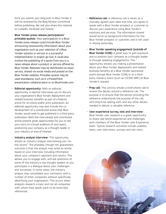Once you submit your blog post to Blue Yonder, it will be reviewed by the Blog Review Committee before publishing. We will also share this material on LinkedIn, Facebook and Twitter.

- **Blue Yonder press release participation/ printable quotes:** Your participation in a Blue Yonder press release could include Blue Yonder announcing newsworthy information about your organization such as your selection of a Blue Yonder solution or service or a successful implementation or project go-live. It could also involve the publishing of a quote from you in a news release about a product or service offered by Blue Yonder. Releases may be distributed via news service, shared via social media and posted on the Blue Yonder website. Printable quotes may be used standalone, such as in a PowerPoint presentation collateral piece or on BlueYonder.com.
- **Editorial opportunity:** With an editorial opportunity, a reporter interviews you to discuss your organization's Blue Yonder deployment and related business benefits as part of a feature article for an online and/or print publication. An editorial opportunity may also include the codevelopment of a contributed article that Blue Yonder would seek to get published in a third-party publication. Both the interview(s) and contributed article present great opportunities for you to tell your story to a broad audience of your peers, positioning your company as a thought leader in your industry or area of interest.
- **Industry analyst interview:** This opportunity entails an industry analyst interviewing you "on the record." The probable, though not guaranteed, outcome is that the analyst may write an article based on your interview including information about your company's approach and results. This allows you to engage with, and ask questions of, some of the industry's top thought leaders as you participate in a dialogue about your challenges and successes. In some cases, the industry analyst may consolidate your comments with a number of other companies without specifically identifying your organization. This occurs when analysts research a topic and not all companies with whom they speak want to be externally referenced.
- **Reference call:** A reference call is when, at a mutually agreed upon date and time, you agree to speak with a Blue Yonder prospect or customer to discuss your experience using Blue Yonder's solutions and services. The information shared would serve as background information for the Blue Yonder prospect or customer, and is not used or shared externally.
- **Blue Yonder speaking engagement (outside of Blue Yonder ICON):** A great way to gain exposure and to position your company as a thought leader is through speaking engagements. This opportunity entails you making a presentation about your Blue Yonder deployment and related business benefits at a Blue Yonder-sponsored event (except Blue Yonder ICON) or at a thirdparty industry event (such as CSCMP, NRF) at Blue Yonder's request.
- **Prep call:** This activity entails a brief phone call to review the details around a reference call. The purpose is to ensure that the person providing the reference understands the purpose of the call, who they'll be talking with, and any other details needed to deliver a valuable reference.
- **User experience survey, test and interview:**  Blue Yonder user research is a great opportunity to share real-world experiences and challenges with members of the Blue Yonder User Experience team. Typical research activities include usability tests, user interviews, surveys and site visits.